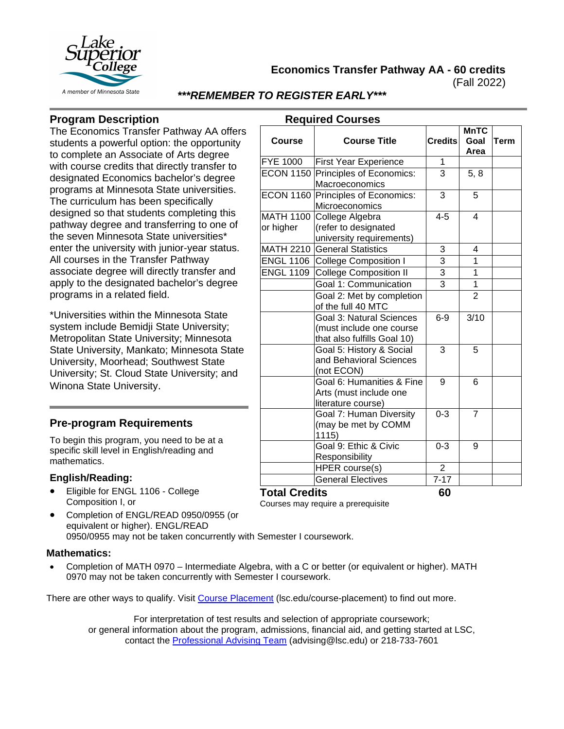

**Economics Transfer Pathway AA - 60 credits**

(Fall 2022)

**MnTC Goal** 

**Term**

## *\*\*\*REMEMBER TO REGISTER EARLY\*\*\**

**Required Courses**

**Course Course Title Credits**

## **Program Description**

The Economics Transfer Pathway AA offers students a powerful option: the opportunity to complete an Associate of Arts degree with course credits that directly transfer to designated Economics bachelor's degree programs at Minnesota State universities. The curriculum has been specifically designed so that students completing this pathway degree and transferring to one of the seven Minnesota State universities\* enter the university with junior-year status. All courses in the Transfer Pathway associate degree will directly transfer and apply to the designated bachelor's degree programs in a related field.

\*Universities within the Minnesota State system include Bemidji State University; Metropolitan State University; Minnesota State University, Mankato; Minnesota State University, Moorhead; Southwest State University; St. Cloud State University; and Winona State University.

## **Pre-program Requirements**

To begin this program, you need to be at a specific skill level in English/reading and mathematics.

#### **English/Reading:**

- Eligible for ENGL 1106 College Composition I, or
- **Area** FYE 1000 First Year Experience | 1 ECON 1150 Principles of Economics: **Macroeconomics**  $3 \mid 5, 8$ ECON 1160 Principles of Economics: **Microeconomics** 3 5 MATH 1100 or higher College Algebra (refer to designated university requirements)  $4-5$  4 MATH 2210 General Statistics | 3 4 ENGL 1106 College Composition I | 3 | 1 ENGL 1109 College Composition II 3 1 Goal 1: Communication 3 1 Goal 2: Met by completion of the full 40 MTC  $\overline{2}$ Goal 3: Natural Sciences (must include one course that also fulfills Goal 10) 6-9 3/10 Goal 5: History & Social and Behavioral Sciences (not ECON) 3 5 Goal 6: Humanities & Fine Arts (must include one literature course) 9 6 Goal 7: Human Diversity (may be met by COMM 1115)  $0-3$  7 Goal 9: Ethic & Civic Responsibility  $0-3$  9  $HPER course(s)$  | 2

General Electives | 7-17

## **Total Credits 60**

Courses may require a prerequisite

• Completion of ENGL/READ 0950/0955 (or equivalent or higher). ENGL/READ 0950/0955 may not be taken concurrently with Semester I coursework.

#### **Mathematics:**

• Completion of MATH 0970 – Intermediate Algebra, with a C or better (or equivalent or higher). MATH 0970 may not be taken concurrently with Semester I coursework.

There are other ways to qualify. Visit [Course Placement](https://www.lsc.edu/course-placement) (lsc.edu/course-placement) to find out more.

For interpretation of test results and selection of appropriate coursework; or general information about the program, admissions, financial aid, and getting started at LSC, contact the [Professional Advising Team](mailto:advising@lsc.edu) (advising@lsc.edu) or 218-733-7601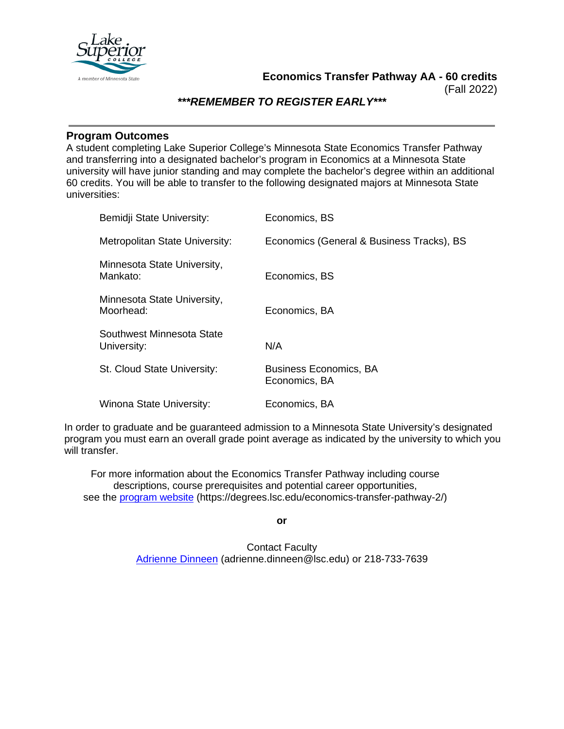

### *\*\*\*REMEMBER TO REGISTER EARLY\*\*\**

#### **Program Outcomes**

A student completing Lake Superior College's Minnesota State Economics Transfer Pathway and transferring into a designated bachelor's program in Economics at a Minnesota State university will have junior standing and may complete the bachelor's degree within an additional 60 credits. You will be able to transfer to the following designated majors at Minnesota State universities:

| Bemidji State University:                | Economics, BS                                  |
|------------------------------------------|------------------------------------------------|
| Metropolitan State University:           | Economics (General & Business Tracks), BS      |
| Minnesota State University,<br>Mankato:  | Economics, BS                                  |
| Minnesota State University,<br>Moorhead: | Economics, BA                                  |
| Southwest Minnesota State<br>University: | N/A                                            |
| St. Cloud State University:              | <b>Business Economics, BA</b><br>Economics, BA |
| Winona State University:                 | Economics, BA                                  |

In order to graduate and be guaranteed admission to a Minnesota State University's designated program you must earn an overall grade point average as indicated by the university to which you will transfer.

For more information about the Economics Transfer Pathway including course descriptions, course prerequisites and potential career opportunities, see the [program website](https://degrees.lsc.edu/economics-transfer-pathway-2/) (https://degrees.lsc.edu/economics-transfer-pathway-2/)

**or**

Contact Faculty [Adrienne Dinneen](mailto:adrienne.dinneen@lsc.edu) (adrienne.dinneen@lsc.edu) or 218-733-7639